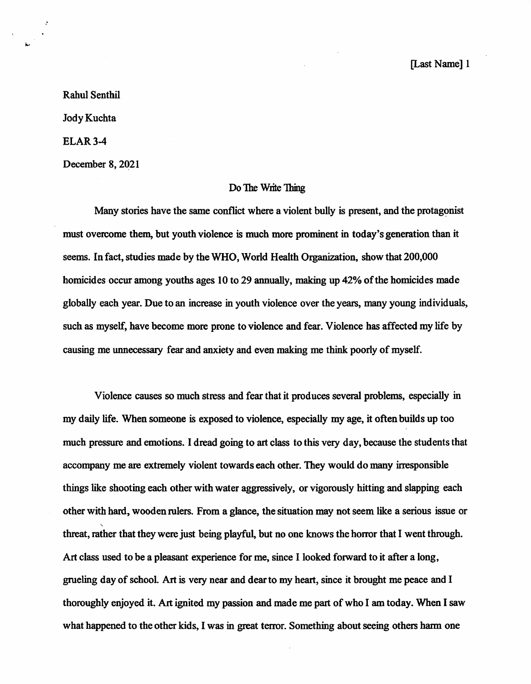Rahul Senthil Jody Kuchta ELAR3-4

December 8,2021

## Do The Write Thing

Many stories have the same conflict where a violent bully is present, and the protagonist must overcome them, but youth violence is much more prominent in today's generation than it seems. In fact, studies made by the WHO, World Health Organization, show that 200,000 homicides occur among youths ages 10 to 29 annually, making up 42% of the homicides made globally each year. Due to an increase in youth violence over the years, many young individuals, such as myself, have become more prone to violence and fear. Violence has affected my life by causing me unnecessary fear and anxiety and even making me think poorly of myself.

Violence causes so much stress and fear that it produces several problems, especially in my daily life. When someone is exposed to violence, especially my age, it often builds up too much pressure and emotions. I dread going to art class to this very day, because the students that accompany me are extremely violent towards each other. They would do many irresponsible things like shooting each other with water aggressively, or vigorously hitting and slapping each other with hard, wooden mlers. From a glance, the situation may not seem like a serious issue or  $\ddot{\phantom{0}}$ threat, rather that they were just being playful, but no one knows the horror that I went through. Art class used to be a pleasant experience for me, since I looked forward to it after a long, grueling day of school Art is very near and dear to my heart, since it brought me peace and I thoroughly enjoyed it. Art ignited my passion and made me part of who I am today. When I saw what happened to the other kids, I was in great terror. Something about seeing others harm one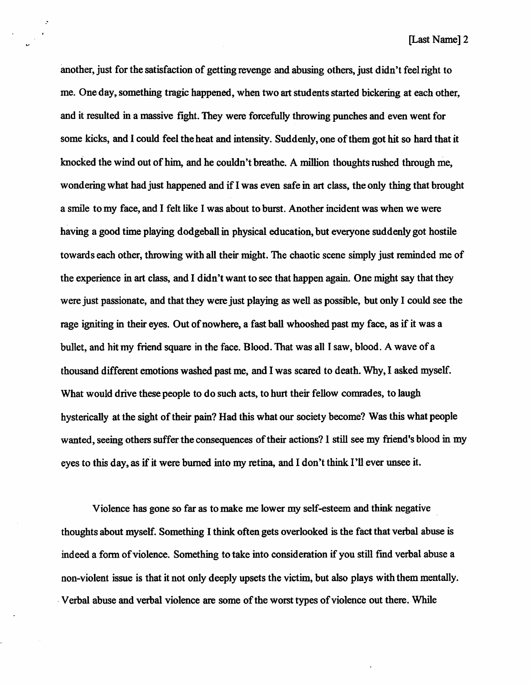[Last Name] 2

another, just for the satisfaction of getting revenge and abusing others, just didn't feel right to me. One day, something tragic happened, when two art students started bickering at each other, and it resulted in a massive fight. They were forcefully throwing punches and even went for some kicks, and 1 could feel the heat and intensity. Suddenly, one of them got hit so hard that it knocked the wind out of him, and he couldn't breathe. A million thoughts rushed through me, wondering what had just happened and if I was even safe in art class, the only thing that brought a smile to my face, and I felt like I was about to burst. Another incident was when we were having a good time playing dodgeball in physical education, but everyone suddenly got hostile towards each other, throwing with all their might. The chaotic scene simply just reminded me of the experience in art class, and I didn't want to see that happen again. One might say that they were just passionate, and that they were just playing as well as possible, but only I could see the rage igniting in their eyes. Out of nowhere, a fast ball whooshed past my face, as if it was a bullet, and hit my friend square in the face. Blood. That was all I saw, blood. A wave of a thousand different emotions washed past me, and I was scared to death. Why, I asked myself. What would drive these people to do such acts, to hurt their fellow comrades, to laugh hysterically at the sight of their pain? Had this what our society become? Was this what people wanted, seeing others suffer the consequences of their actions? 1 still see my friend's blood in my eyes to this day, as if it were bumed into my retina, and I don't think I'll ever unsee it.

Violence has gone so far as to make me lower my self-esteem and think negative thoughts about myself. Something I think often gets overlooked is the fact that verbal abuse is indeed a form of violence. Something to take into consideration if you still find verbal abuse a non-violent issue is that it not only deeply upsets the victim, but also plays with them mentally. Verbal abuse and verbal violence are some of the worst types of violence out there. While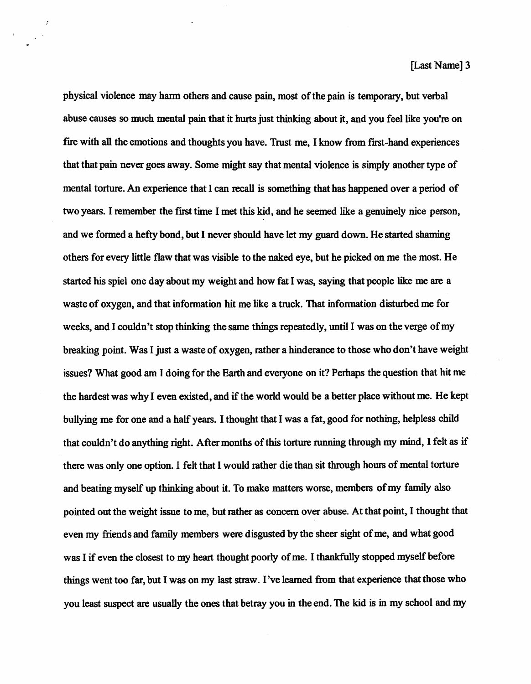physical violence may hann others and cause pain, most of the pain is temporary, but verbal abuse causes so much mental pain that it hurts just thinking about it, and you feel like you're on fire with all the emotions and thoughts you have. Trust me, I know from first-hand experiences that that pain never goes away. Some might say that mental violence is singly another type of mental torture. An experience that I can recall is something that has happened over a period of two years. I remember the first time I met this kid, and he seemed like a genuinely nice person, and we formed a hefty bond, but I never should have let my guard down. He started shaming others for every little flaw that was visible to the naked eye, but he picked on me the most. He started his spiel one day about my weight and how fat I was, saying that people like me are a waste of oxygen, and that information hit me like a truck. That information disturbed me for weeks, and I couldn't stop thinking the same things repeatedly, until 1 was on the verge of my breaking point. Was I just a waste of oxygen, rather a hinderance to those who don't have weight issues? What good am I doing for the Earth and everyone on it? Perhaps the question that hit me the hardest was why I even existed, and if the world would be a better place without me. He kept bullying me for one and a half years. I thought that I was a fat, good for nothing, helpless child that couldn't do anything right. After months of this torture running through my mind, I felt as if there was only one option. I felt that I would rather die than sit through hours of mental torture and beating myself up thinking about it. To make matters worse, members of my family also pointed out the weight issue to me, but rather as concem over abuse. At that point, I thought that even my friends and family members were disgusted by the sheer sight of me, and what good was I if even the closest to my heart thought poorly of me. I thankfully stopped myself before things went too far, but I was on my last straw. I've leamed from that experience that those who you least suspect are usually the ones that betray you in the end. The kid is in my school and my